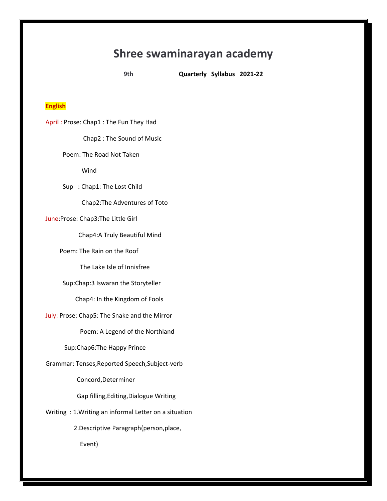# **Shree swaminarayan academy**

**9th Quarterly Syllabus 2021-22**

#### **English**

April : Prose: Chap1 : The Fun They Had Chap2 : The Sound of Music Poem: The Road Not Taken Wind Sup : Chap1: The Lost Child Chap2:The Adventures of Toto June:Prose: Chap3:The Little Girl Chap4:A Truly Beautiful Mind Poem: The Rain on the Roof The Lake Isle of Innisfree Sup:Chap:3 Iswaran the Storyteller Chap4: In the Kingdom of Fools July: Prose: Chap5: The Snake and the Mirror Poem: A Legend of the Northland Sup:Chap6:The Happy Prince Grammar: Tenses,Reported Speech,Subject-verb Concord,Determiner Gap filling,Editing,Dialogue Writing Writing : 1.Writing an informal Letter on a situation 2.Descriptive Paragraph(person,place, Event)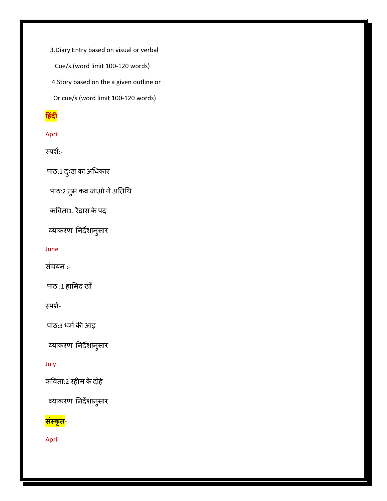3.Diary Entry based on visual or verbal

Cue/s.(word limit 100-120 words)

4.Story based on the a given outline or

Or cue/s (word limit 100-120 words)

## **ह िंदी**

## April

स्ऩर्श:-

पाठ:1 दुःख का अधिकार

पाठ:2 तुम कब जाओ गे अतिथि

कविता1. रैदास के पद

व्याकरण निर्देशानुसार

#### June

संचयन :-

ऩाठ :1 हाममद खाॉ

स्ऩर्श-

पाठ:3 धर्म की आड़

व्याकरण निर्देशानुसार

### July

कविता:2 रहीम केदोहे

व्याकरण निर्देशानुसार

# **सिंस्कृत-**

April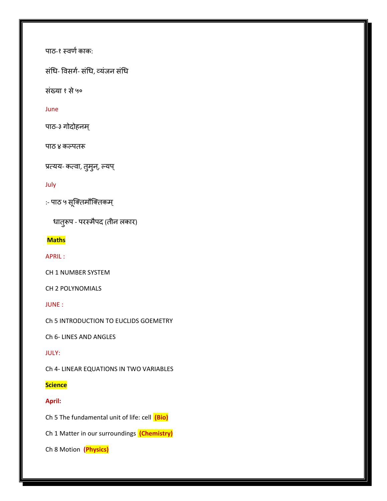पाठ-१ स्वर्ण काक:

संधि- विसर्ग- संधि, व्यंजन संधि

संख्या १ से ५०

#### June

पाठ-३ गोदोहनम्

पाठ ४ कल्पतरू

प्रत्यय- कत्वा, तुमुन्, ल्यप्

#### July

:- ऩाठ ५ सूक्ततमौक्ततकम ्

धातुरूप - परस्मैपद (तीन लकार)

#### **Maths**

APRIL :

CH 1 NUMBER SYSTEM

CH 2 POLYNOMIALS

JUNE :

Ch 5 INTRODUCTION TO EUCLIDS GOEMETRY

Ch 6- LINES AND ANGLES

#### JULY:

Ch 4- LINEAR EQUATIONS IN TWO VARIABLES

#### **Science**

#### **April:**

Ch 5 The fundamental unit of life: cell **(Bio)** 

Ch 1 Matter in our surroundings **(Chemistry)** 

Ch 8 Motion **(Physics)**